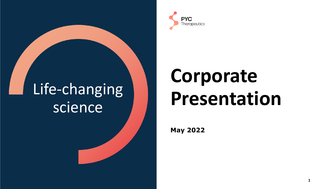## Life-changing science



# **Corporate Presentation**

**1**

**May 2022**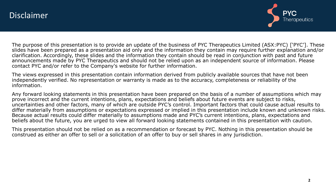

The purpose of this presentation is to provide an update of the business of PYC Therapeutics Limited (ASX:PYC) ['PYC']. These slides have been prepared as a presentation aid only and the information they contain may require further explanation and/or clarification. Accordingly, these slides and the information they contain should be read in conjunction with past and future announcements made by PYC Therapeutics and should not be relied upon as an independent source of information. Please contact PYC and/or refer to the Company's website for further information.

The views expressed in this presentation contain information derived from publicly available sources that have not been independently verified. No representation or warranty is made as to the accuracy, completeness or reliability of the information.

Any forward looking statements in this presentation have been prepared on the basis of a number of assumptions which may prove incorrect and the current intentions, plans, expectations and beliefs about future events are subject to risks, uncertainties and other factors, many of which are outside PYC's control. Important factors that could cause actual results to differ materially from assumptions or expectations expressed or implied in this presentation include known and unknown risks. Because actual results could differ materially to assumptions made and PYC's current intentions, plans, expectations and beliefs about the future, you are urged to view all forward looking statements contained in this presentation with caution.

This presentation should not be relied on as a recommendation or forecast by PYC. Nothing in this presentation should be construed as either an offer to sell or a solicitation of an offer to buy or sell shares in any jurisdiction.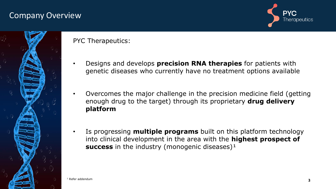### Company Overview





PYC Therapeutics:

 $1$  Refer addendum

- Designs and develops **precision RNA therapies** for patients with genetic diseases who currently have no treatment options available
- Overcomes the major challenge in the precision medicine field (getting enough drug to the target) through its proprietary **drug delivery platform**
- Is progressing **multiple programs** built on this platform technology into clinical development in the area with the **highest prospect of**  success in the industry (monogenic diseases)<sup>1</sup>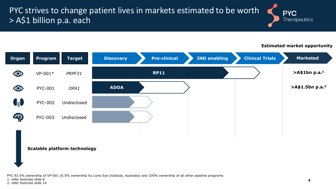### PYC strives to change patient lives in markets estimated to be worth > A\$1 billion p.a. each

**Estimated market opportunity**

**Therapeutics** 

**PYC** 



#### **Scalable platform technology**

PYC 93.5% ownership of VP-001 (6.5% ownership by Lions Eye Institute, Australia) and 100% ownership of all other pipeline programs

1. refer footnote slide 8

2. refer footnote slide 14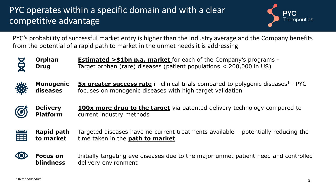### PYC operates within a specific domain and with a clear competitive advantage



PYC's probability of successful market entry is higher than the industry average and the Company benefits from the potential of a rapid path to market in the unmet needs it is addressing



**Orphan Drug Estimated >\$1bn p.a. market** for each of the Company's programs - Target orphan (rare) diseases (patient populations < 200,000 in US)



**Monogenic diseases 5x greater success rate** in clinical trials compared to polygenic diseases<sup>1</sup> - PYC focuses on monogenic diseases with high target validation







**Focus on blindness** Initially targeting eye diseases due to the major unmet patient need and controlled delivery environment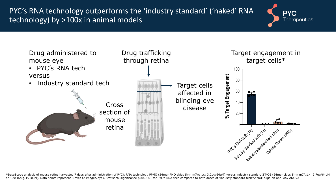PYC's RNA technology outperforms the 'industry standard' ('naked' RNA technology) by >100x in animal models





**\***BaseScope analysis of mouse retina harvested 7 days after administration of PYC's RNA technology PPMO (24mer PMO skips Smn m7A; 1x: 3.2ug/64uM) versus industry standard 2'MOE (24mer skips Smn m7A;1x: 2.7ug/64uM or 30x: 82ug/1910uM). Data points represent 3 eyes (2 images/eye). Statistical significance p<0.0001 for PYC's RNA tech compared to both doses of 'Industry standard tech'/2'MOE oligo on one-way ANOVA.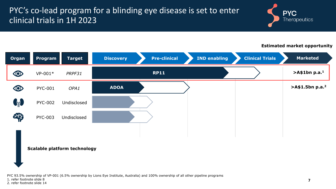### PYC's co-lead program for a blinding eye disease is set to enter clinical trials in 1H 2023



#### **Estimated market opportunity**

| <b>Organ</b>   | Program        | <b>Target</b>                       | <b>Discovery</b> | <b>Pre-clinical</b> | <b>IND enabling</b> | <b>Clinical Trials</b> | <b>Marketed</b>                |
|----------------|----------------|-------------------------------------|------------------|---------------------|---------------------|------------------------|--------------------------------|
| $\circledcirc$ | $VP-001*$      | PRPF31                              |                  | <b>RP11</b>         |                     |                        | >A\$1bn p.a. <sup>1</sup>      |
| $\circledcirc$ | <b>PYC-001</b> | OPA1                                | <b>ADOA</b>      |                     |                     |                        | $>$ A\$1.5bn p.a. <sup>2</sup> |
| $\mathbf{G}_0$ | <b>PYC-002</b> | Undisclosed                         |                  |                     |                     |                        |                                |
| 中              | <b>PYC-003</b> | Undisclosed                         |                  |                     |                     |                        |                                |
|                |                | <b>Scalable platform technology</b> |                  |                     |                     |                        |                                |

PYC 93.5% ownership of VP-001 (6.5% ownership by Lions Eye Institute, Australia) and 100% ownership of all other pipeline programs

1. refer footnote slide 8

2. refer footnote slide 14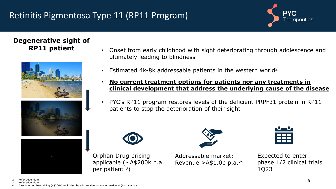## Retinitis Pigmentosa Type 11 (RP11 Program)



#### **Degenerative sight of RP11 patient**







- Onset from early childhood with sight deteriorating through adolescence and ultimately leading to blindness
- Estimated 4k-8k addressable patients in the western world<sup>2</sup>
- **No current treatment options for patients nor any treatments in clinical development that address the underlying cause of the disease**
- PYC's RP11 program restores levels of the deficient PRPF31 protein in RP11 patients to stop the deterioration of their sight



Orphan Drug pricing

per patient  $3$ )

applicable (~A\$200k p.a.





Expected to enter phase 1/2 clinical trials 1Q23

- 2. Refer addendum
- 3. Refer addendum
- 4. ^assumed orphan pricing (A\$200k) multiplied by addressable population midpoint (6k patients)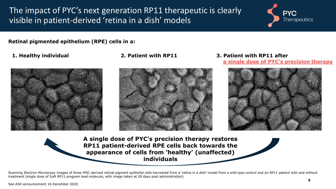The impact of PYC's next generation RP11 therapeutic is clearly visible in patient-derived 'retina in a dish' models



**Retinal pigmented epithelium (RPE) cells in a:**





**1. Healthy individual 2. Patient with RP11 3. Patient with RP11 after a single dose of PYC's precision therapy**





**A single dose of PYC's precision therapy restores RP11 patient-derived RPE cells back towards the appearance of cells from 'healthy' (unaffected) individuals** 

Scanning Electron Microscopy images of three iPSC-derived retinal pigment epithelial cells harvested from a 'retina in a dish' model from a wild type control and an RP11 patient with and without treatment (single dose of 5uM RP11 program lead molecule, with image taken at 28 days post administration)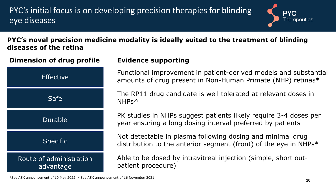PYC's initial focus is on developing precision therapies for blinding eye diseases



**PYC's novel precision medicine modality is ideally suited to the treatment of blinding diseases of the retina**



Functional improvement in patient-derived models and substantial amounts of drug present in Non-Human Primate (NHP) retinas\*

The RP11 drug candidate is well tolerated at relevant doses in NHPs^

PK studies in NHPs suggest patients likely require 3-4 doses per year ensuring a long dosing interval preferred by patients

Not detectable in plasma following dosing and minimal drug distribution to the anterior segment (front) of the eye in NHPs\*

Able to be dosed by intravitreal injection (simple, short outpatient procedure)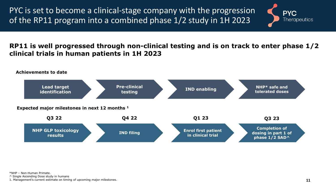PYC is set to become a clinical-stage company with the progression of the RP11 program into a combined phase 1/2 study in 1H 2023



**RP11 is well progressed through non-clinical testing and is on track to enter phase 1/2 clinical trials in human patients in 1H 2023**



\*NHP – Non-Human Primate.

^ Single Ascending Dose study in humans

1. Management's current estimate on timing of upcoming major milestones.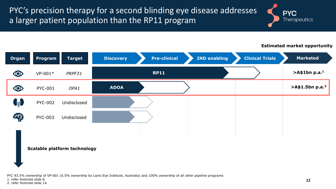PYC's precision therapy for a second blinding eye disease addresses a larger patient population than the RP11 program



#### **Estimated market opportunity**

| <b>Organ</b>   | Program        | Target                              | <b>Discovery</b> | <b>Pre-clinical</b> | <b>IND enabling</b> | <b>Clinical Trials</b> | <b>Marketed</b>              |
|----------------|----------------|-------------------------------------|------------------|---------------------|---------------------|------------------------|------------------------------|
| $\circledcirc$ | $VP-001*$      | PRPF31                              |                  | <b>RP11</b>         |                     |                        | $>$ A\$1bn p.a. <sup>1</sup> |
| $\circledcirc$ | <b>PYC-001</b> | OPA1                                | <b>ADOA</b>      |                     |                     |                        | >A\$1.5bn p.a. <sup>2</sup>  |
| $\mathbf{G}_0$ | <b>PYC-002</b> | Undisclosed                         |                  |                     |                     |                        |                              |
| ER             | <b>PYC-003</b> | Undisclosed                         |                  |                     |                     |                        |                              |
|                |                |                                     |                  |                     |                     |                        |                              |
|                |                | <b>Scalable platform technology</b> |                  |                     |                     |                        |                              |

PYC 93.5% ownership of VP-001 (6.5% ownership by Lions Eye Institute, Australia) and 100% ownership of all other pipeline programs

1. refer footnote slide 8

2. refer footnote slide 14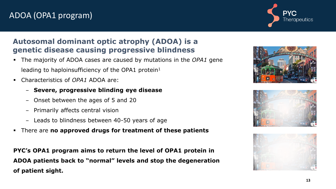### ADOA (OPA1 program)



### **Autosomal dominant optic atrophy (ADOA) is a genetic disease causing progressive blindness**

- The majority of ADOA cases are caused by mutations in the *OPA1* gene leading to haploinsufficiency of the OPA1 protein<sup>1</sup>
- Characteristics of *OPA1* ADOA are:
	- ‒ **Severe, progressive blinding eye disease**
	- ‒ Onset between the ages of 5 and 20
	- ‒ Primarily affects central vision
	- ‒ Leads to blindness between 40-50 years of age
- There are **no approved drugs for treatment of these patients**

**PYC's OPA1 program aims to return the level of OPA1 protein in ADOA patients back to "normal" levels and stop the degeneration of patient sight.**





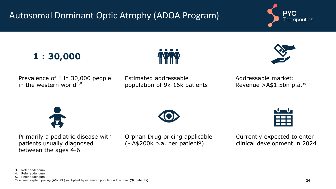## Autosomal Dominant Optic Atrophy (ADOA Program)









Prevalence of 1 in 30,000 people in the western world $4,5$ 

Estimated addressable population of 9k-16k patients Addressable market: Revenue >A\$1.5bn p.a.\*



Primarily a pediatric disease with patients usually diagnosed between the ages 4-6

Orphan Drug pricing applicable  $(\sim$ A\$200k p.a. per patient<sup>3</sup>)



Currently expected to enter clinical development in 2024

<sup>3.</sup> Refer addendum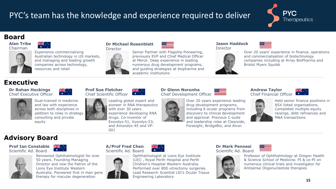### PYC's team has the knowledge and experience required to deliver



### **Board**

**Alan Tribe** Chairman



Experience commercialising Australian technology in US markets, and managing and leading growth companies across technology, resources and retail

#### **Dr Michael Rosenblatt Director**



#### **Jason Haddock** Director



Over 20 years' experience in finance, operations and commercialisation of biotechnology companies including at Array BioPharma and Bristol Myers Squibb

#### **Executive**

**Dr Rohan Hockings** Chief Executive Officer



Dual-trained in medicine and law with experience across both disciplines in addition to roles in strategy consulting and private equity

▓▓

**Prof Sue Fletcher** Chief Scientific Officer

> Leading global expert and pioneer in RNA therapeutics with over 30 years experience developing RNA drugs. Co-inventor of Exondys-51, Vyondys-53, and Amondys-45 and VP-001

#### **Dr Glenn Noronha** Chief Development Officer

Over 20 years experience leading drug development programs, including 6 ocular programs from discovery to clinical development and approval. Previous C-suite and leadership roles at Clearside, Foresight, BridgeBio, and Alcon

#### **Andrew Taylor** Chief Financial Officer





Held senior finance positions in ASX listed organisations. Completed multiple equity raisings, debt refinances and M&A transactions.

#### **Advisory Board**

#### **Prof Ian Constable** Scientific Ad. Board



<del>≫K</del> . .

 $\frac{1}{\sqrt{K}}$ 







Ophthalmologist at Lions Eye Institute (LEI) , Royal Perth Hospital and Perth Children's Hospital Western Australia. Performed over 800 vitrectomy surgeries. Lead Research Scientist LEI's Ocular Tissue Engineering Laboratory

#### **Dr Mark Pennesi** Scientific Ad. Board



Professor of Ophthalmology at Oregon Health & Science School of Medicine. PI & co-PI on numerous clinical trials and investigator for Antisense Oligonucleotide therapies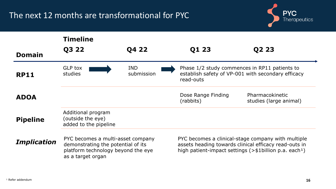### The next 12 months are transformational for PYC



|                    | <b>Timeline</b>                                                                                                                    |                          |                                                                                                                                                                                      |                                           |  |  |  |
|--------------------|------------------------------------------------------------------------------------------------------------------------------------|--------------------------|--------------------------------------------------------------------------------------------------------------------------------------------------------------------------------------|-------------------------------------------|--|--|--|
| <b>Domain</b>      | Q3 22                                                                                                                              | Q4 22                    | Q1 23                                                                                                                                                                                | Q2 23                                     |  |  |  |
| <b>RP11</b>        | <b>GLP tox</b><br>studies                                                                                                          | <b>IND</b><br>submission | Phase 1/2 study commences in RP11 patients to<br>establish safety of VP-001 with secondary efficacy<br>read-outs                                                                     |                                           |  |  |  |
| <b>ADOA</b>        |                                                                                                                                    |                          | Dose Range Finding<br>(rabbits)                                                                                                                                                      | Pharmacokinetic<br>studies (large animal) |  |  |  |
| <b>Pipeline</b>    | Additional program<br>(outside the eye)<br>added to the pipeline                                                                   |                          |                                                                                                                                                                                      |                                           |  |  |  |
| <b>Implication</b> | PYC becomes a multi-asset company<br>demonstrating the potential of its<br>platform technology beyond the eye<br>as a target organ |                          | PYC becomes a clinical-stage company with multiple<br>assets heading towards clinical efficacy read-outs in<br>high patient-impact settings $(>\$1$ billion p.a. each <sup>1</sup> ) |                                           |  |  |  |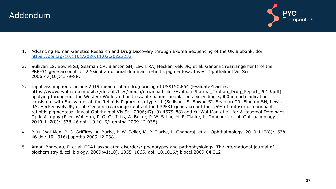



- 1. Advancing Human Genetics Research and Drug Discovery through Exome Sequencing of the UK Biobank. doi: <https://doi.org/10.1101/2020.11.02.20222232>
- 2. Sullivan LS, Bowne SJ, Seaman CR, Blanton SH, Lewis RA, Heckenlively JR, et al. Genomic rearrangements of the PRPF31 gene account for 2.5% of autosomal dominant retinitis pigmentosa. Invest Ophthalmol Vis Sci. 2006;47(10):4579-88.
- 3. Input assumptions include 2019 mean orphan drug pricing of US\$150,854 (EvaluatePharma: https://www.evaluate.com/sites/default/files/media/download-files/EvaluatePharma\_Orphan\_Drug\_Report\_2019.pdf) applying throughout the Western World and addressable patient populations exceeding 5,000 in each indication consistent with Sullivan et al. for Retinitis Pigmentosa type 11 (Sullivan LS, Bowne SJ, Seaman CR, Blanton SH, Lewis RA, Heckenlively JR, et al. Genomic rearrangements of the PRPF31 gene account for 2.5% of autosomal dominant retinitis pigmentosa. Invest Ophthalmol Vis Sci. 2006;47(10):4579-88) and Yu-Wai-Man et al. for Autosomal Dominant Optic Atrophy (P. Yu-Wai-Man, P. G. Griffiths, A. Burke, P. W. Sellar, M. P. Clarke, L. Gnanaraj, et al. Ophthalmology. 2010;117(8):1538-46 doi: 10.1016/j.ophtha.2009.12.038)
- 4. P. Yu-Wai-Man, P. G. Griffiths, A. Burke, P. W. Sellar, M. P. Clarke, L. Gnanaraj, et al. Ophthalmology. 2010;117(8):1538- 46 doi: 10.1016/j.ophtha.2009.12.038
- 5. Amati-Bonneau, P. et al. OPA1-associated disorders: phenotypes and pathophysiology. The international journal of biochemistry & cell biology, 2009;41(10), 1855–1865. doi: 10.1016/j.biocel.2009.04.012